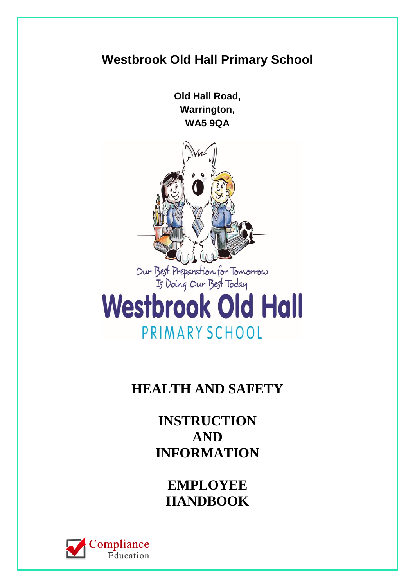# **Westbrook Old Hall Primary School Old Hall Road, Warrington, WA5 9QA** Our Best Preparation for Tomorrow<br>Is Doing Our Best Today **Westbrook Old Hall** PRIMARY SCHOOL

# **HEALTH AND SAFETY**

**INSTRUCTION AND INFORMATION**

**EMPLOYEE HANDBOOK**

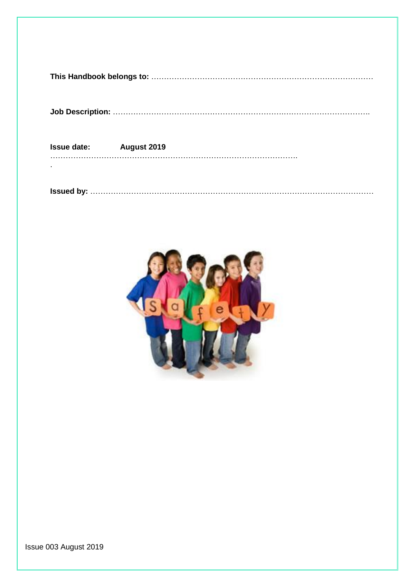|--|

**Job Description:** ………………………………………………………….…………………………….

| <b>Issue date:</b> | August 2019 |
|--------------------|-------------|
|                    |             |

**Issued by:** …………………………………………………………………………………………………



Issue 003 August 2019

.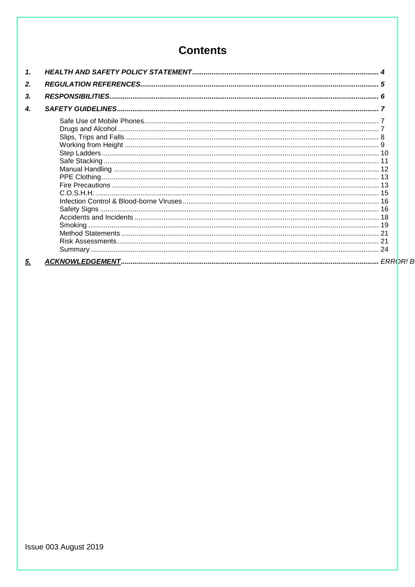# **Contents**

| 1. |  |  |
|----|--|--|
| 2. |  |  |
| 3. |  |  |
| 4. |  |  |
|    |  |  |
|    |  |  |
|    |  |  |
|    |  |  |
|    |  |  |
|    |  |  |
|    |  |  |
|    |  |  |
|    |  |  |
|    |  |  |
| 5. |  |  |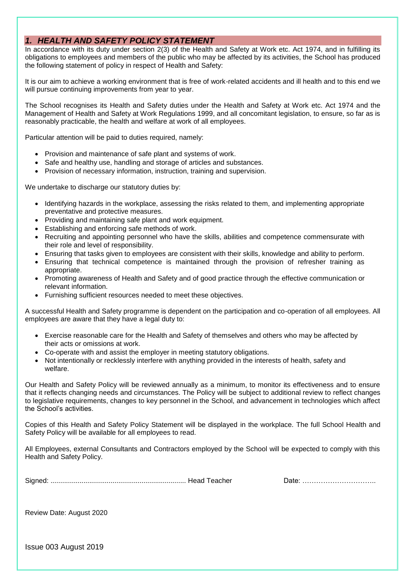#### <span id="page-3-0"></span>*1. HEALTH AND SAFETY POLICY STATEMENT*

In accordance with its duty under section 2(3) of the Health and Safety at Work etc. Act 1974, and in fulfilling its obligations to employees and members of the public who may be affected by its activities, the School has produced the following statement of policy in respect of Health and Safety:

It is our aim to achieve a working environment that is free of work-related accidents and ill health and to this end we will pursue continuing improvements from year to year.

The School recognises its Health and Safety duties under the Health and Safety at Work etc. Act 1974 and the Management of Health and Safety at Work Regulations 1999, and all concomitant legislation, to ensure, so far as is reasonably practicable, the health and welfare at work of all employees.

Particular attention will be paid to duties required, namely:

- Provision and maintenance of safe plant and systems of work.
- Safe and healthy use, handling and storage of articles and substances.
- Provision of necessary information, instruction, training and supervision.

We undertake to discharge our statutory duties by:

- Identifying hazards in the workplace, assessing the risks related to them, and implementing appropriate preventative and protective measures.
- Providing and maintaining safe plant and work equipment.
- Establishing and enforcing safe methods of work.
- Recruiting and appointing personnel who have the skills, abilities and competence commensurate with their role and level of responsibility.
- Ensuring that tasks given to employees are consistent with their skills, knowledge and ability to perform.
- Ensuring that technical competence is maintained through the provision of refresher training as appropriate.
- Promoting awareness of Health and Safety and of good practice through the effective communication or relevant information.
- Furnishing sufficient resources needed to meet these objectives.

A successful Health and Safety programme is dependent on the participation and co-operation of all employees. All employees are aware that they have a legal duty to:

- Exercise reasonable care for the Health and Safety of themselves and others who may be affected by their acts or omissions at work.
- Co-operate with and assist the employer in meeting statutory obligations.
- Not intentionally or recklessly interfere with anything provided in the interests of health, safety and welfare.

Our Health and Safety Policy will be reviewed annually as a minimum, to monitor its effectiveness and to ensure that it reflects changing needs and circumstances. The Policy will be subject to additional review to reflect changes to legislative requirements, changes to key personnel in the School, and advancement in technologies which affect the School's activities.

Copies of this Health and Safety Policy Statement will be displayed in the workplace. The full School Health and Safety Policy will be available for all employees to read.

All Employees, external Consultants and Contractors employed by the School will be expected to comply with this Health and Safety Policy.

|--|--|--|

Date: ………………………………

Review Date: August 2020

Issue 003 August 2019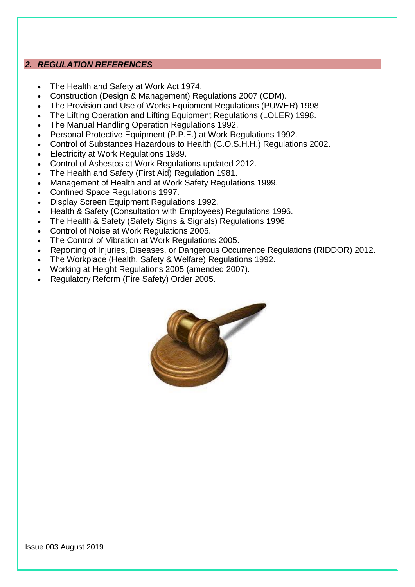#### <span id="page-4-0"></span>*2. REGULATION REFERENCES*

- The Health and Safety at Work Act 1974.
- Construction (Design & Management) Regulations 2007 (CDM).
- The Provision and Use of Works Equipment Regulations (PUWER) 1998.
- The Lifting Operation and Lifting Equipment Regulations (LOLER) 1998.
- The Manual Handling Operation Regulations 1992.
- Personal Protective Equipment (P.P.E.) at Work Regulations 1992.
- Control of Substances Hazardous to Health (C.O.S.H.H.) Regulations 2002.
- Electricity at Work Regulations 1989.
- Control of Asbestos at Work Regulations updated 2012.
- The Health and Safety (First Aid) Regulation 1981.
- Management of Health and at Work Safety Regulations 1999.
- Confined Space Regulations 1997.
- Display Screen Equipment Regulations 1992.
- Health & Safety (Consultation with Employees) Regulations 1996.
- The Health & Safety (Safety Signs & Signals) Regulations 1996.
- Control of Noise at Work Regulations 2005.
- The Control of Vibration at Work Regulations 2005.
- Reporting of Injuries, Diseases, or Dangerous Occurrence Regulations (RIDDOR) 2012.
- The Workplace (Health, Safety & Welfare) Regulations 1992.
- Working at Height Regulations 2005 (amended 2007).
- Regulatory Reform (Fire Safety) Order 2005.

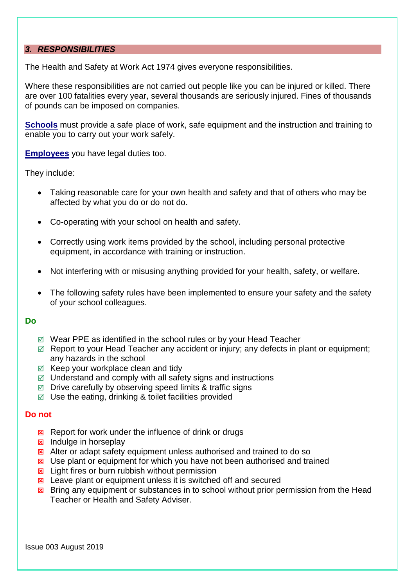#### <span id="page-5-0"></span>*3. RESPONSIBILITIES*

The Health and Safety at Work Act 1974 gives everyone responsibilities.

Where these responsibilities are not carried out people like you can be injured or killed. There are over 100 fatalities every year, several thousands are seriously injured. Fines of thousands of pounds can be imposed on companies.

**Schools** must provide a safe place of work, safe equipment and the instruction and training to enable you to carry out your work safely.

**Employees** you have legal duties too.

They include:

- Taking reasonable care for your own health and safety and that of others who may be affected by what you do or do not do.
- Co-operating with your school on health and safety.
- Correctly using work items provided by the school, including personal protective equipment, in accordance with training or instruction.
- Not interfering with or misusing anything provided for your health, safety, or welfare.
- The following safety rules have been implemented to ensure your safety and the safety of your school colleagues.

#### **Do**

- Wear PPE as identified in the school rules or by your Head Teacher
- $\boxtimes$  Report to your Head Teacher any accident or injury; any defects in plant or equipment; any hazards in the school
- $\boxtimes$  Keep your workplace clean and tidy
- $\boxtimes$  Understand and comply with all safety signs and instructions
- $\boxtimes$  Drive carefully by observing speed limits & traffic signs
- $\boxtimes$  Use the eating, drinking & toilet facilities provided

#### **Do not**

- Report for work under the influence of drink or drugs
- $\boxtimes$  Indulge in horseplay
- $\boxtimes$  Alter or adapt safety equipment unless authorised and trained to do so
- $\boxtimes$  Use plant or equipment for which you have not been authorised and trained
- $\boxtimes$  Light fires or burn rubbish without permission
- $\boxtimes$  Leave plant or equipment unless it is switched off and secured
- $\boxtimes$  Bring any equipment or substances in to school without prior permission from the Head Teacher or Health and Safety Adviser.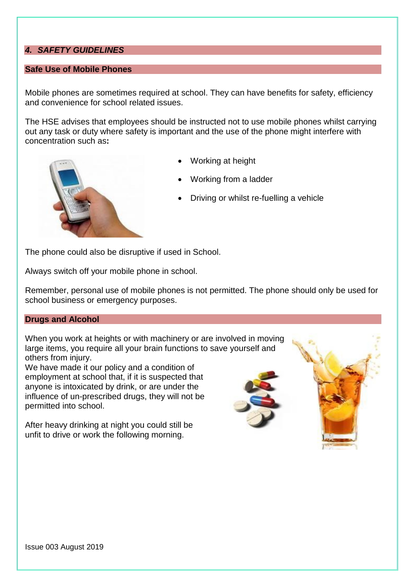# <span id="page-6-0"></span>*4. SAFETY GUIDELINES*

#### <span id="page-6-1"></span>**Safe Use of Mobile Phones**

Mobile phones are sometimes required at school. They can have benefits for safety, efficiency and convenience for school related issues.

The HSE advises that employees should be instructed not to use mobile phones whilst carrying out any task or duty where safety is important and the use of the phone might interfere with concentration such as**:**



- Working at height
- Working from a ladder
- Driving or whilst re-fuelling a vehicle

The phone could also be disruptive if used in School.

Always switch off your mobile phone in school.

Remember, personal use of mobile phones is not permitted. The phone should only be used for school business or emergency purposes.

#### <span id="page-6-2"></span>**Drugs and Alcohol**

When you work at heights or with machinery or are involved in moving large items, you require all your brain functions to save yourself and others from injury.

We have made it our policy and a condition of employment at school that, if it is suspected that anyone is intoxicated by drink, or are under the influence of un-prescribed drugs, they will not be permitted into school.

After heavy drinking at night you could still be unfit to drive or work the following morning.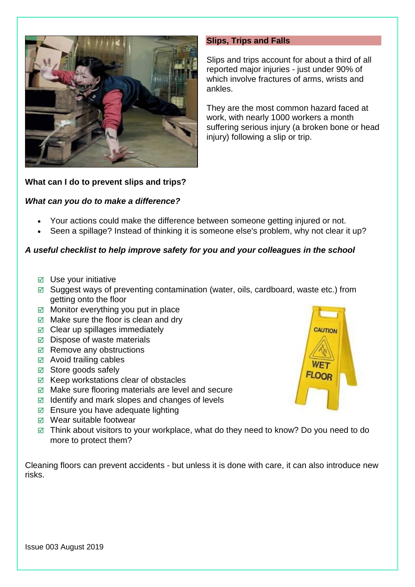

#### <span id="page-7-0"></span>**Slips, Trips and Falls**

Slips and trips account for about a third of all reported major injuries - just under 90% of which involve fractures of arms, wrists and ankles.

They are the most common hazard faced at work, with nearly 1000 workers a month suffering serious injury (a broken bone or head injury) following a slip or trip.

### **What can I do to prevent slips and trips?**

### *What can you do to make a difference?*

- Your actions could make the difference between someone getting injured or not.
- Seen a spillage? Instead of thinking it is someone else's problem, why not clear it up?

### *A useful checklist to help improve safety for you and your colleagues in the school*

- $\boxtimes$  Use your initiative
- $\boxtimes$  Suggest ways of preventing contamination (water, oils, cardboard, waste etc.) from getting onto the floor
- $\boxtimes$  Monitor everything you put in place
- $\boxtimes$  Make sure the floor is clean and dry
- $\boxtimes$  Clear up spillages immediately
- $\boxdot$  Dispose of waste materials
- $\boxtimes$  Remove any obstructions
- $\boxtimes$  Avoid trailing cables
- $\boxtimes$  Store goods safely
- $\boxtimes$  Keep workstations clear of obstacles
- $\boxtimes$  Make sure flooring materials are level and secure
- $\boxtimes$  Identify and mark slopes and changes of levels
- $\boxtimes$  Ensure you have adequate lighting
- $\boxtimes$  Wear suitable footwear
- $\boxtimes$  Think about visitors to your workplace, what do they need to know? Do you need to do more to protect them?

Cleaning floors can prevent accidents - but unless it is done with care, it can also introduce new risks.

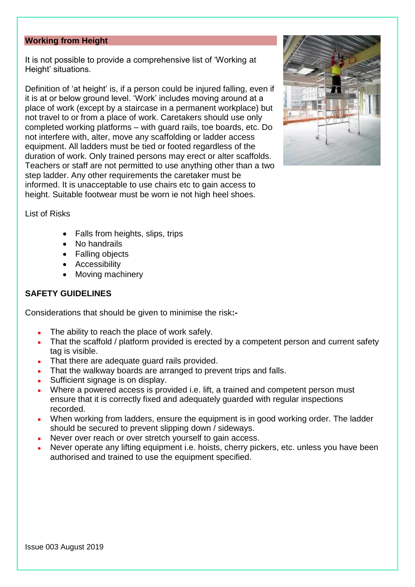#### <span id="page-8-0"></span>**Working from Height**

It is not possible to provide a comprehensive list of 'Working at Height' situations.

Definition of 'at height' is, if a person could be injured falling, even if it is at or below ground level. 'Work' includes moving around at a place of work (except by a staircase in a permanent workplace) but not travel to or from a place of work. Caretakers should use only completed working platforms – with guard rails, toe boards, etc. Do not interfere with, alter, move any scaffolding or ladder access equipment. All ladders must be tied or footed regardless of the duration of work. Only trained persons may erect or alter scaffolds. Teachers or staff are not permitted to use anything other than a two step ladder. Any other requirements the caretaker must be informed. It is unacceptable to use chairs etc to gain access to height. Suitable footwear must be worn ie not high heel shoes.



List of Risks

- Falls from heights, slips, trips
- No handrails
- Falling objects
- Accessibility
- Moving machinery

### **SAFETY GUIDELINES**

Considerations that should be given to minimise the risk**:-**

- The ability to reach the place of work safely.
- That the scaffold / platform provided is erected by a competent person and current safety tag is visible.
- That there are adequate guard rails provided.
- That the walkway boards are arranged to prevent trips and falls.
- Sufficient signage is on display.
- Where a powered access is provided i.e. lift, a trained and competent person must ensure that it is correctly fixed and adequately guarded with regular inspections recorded.
- When working from ladders, ensure the equipment is in good working order. The ladder should be secured to prevent slipping down / sideways.
- Never over reach or over stretch yourself to gain access.
- Never operate any lifting equipment i.e. hoists, cherry pickers, etc. unless you have been authorised and trained to use the equipment specified.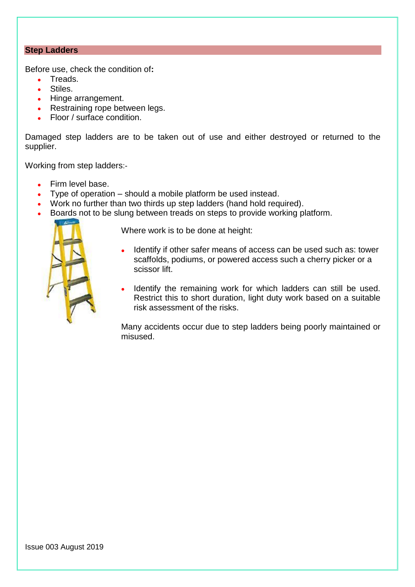# <span id="page-9-0"></span>**Step Ladders**

Before use, check the condition of**:**

- Treads.
- Stiles.
- Hinge arrangement.
- Restraining rope between legs.
- Floor / surface condition.

Damaged step ladders are to be taken out of use and either destroyed or returned to the supplier.

Working from step ladders:-

- Firm level base.
- Type of operation should a mobile platform be used instead.
- Work no further than two thirds up step ladders (hand hold required).
- Boards not to be slung between treads on steps to provide working platform.



Where work is to be done at height:

- Identify if other safer means of access can be used such as: tower scaffolds, podiums, or powered access such a cherry picker or a scissor lift.
- Identify the remaining work for which ladders can still be used. Restrict this to short duration, light duty work based on a suitable risk assessment of the risks.

Many accidents occur due to step ladders being poorly maintained or misused.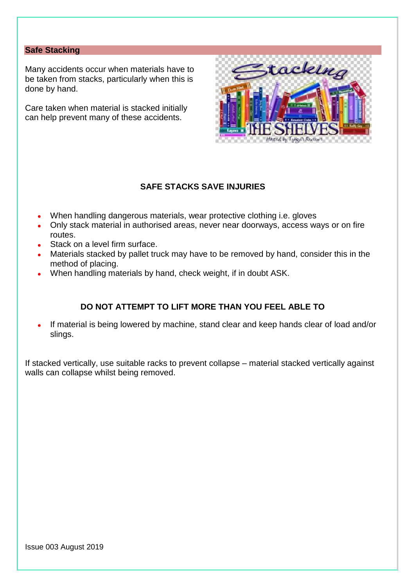# <span id="page-10-0"></span>**Safe Stacking**

Many accidents occur when materials have to be taken from stacks, particularly when this is done by hand.

Care taken when material is stacked initially can help prevent many of these accidents.



# **SAFE STACKS SAVE INJURIES**

- When handling dangerous materials, wear protective clothing i.e. gloves
- Only stack material in authorised areas, never near doorways, access ways or on fire routes.
- Stack on a level firm surface.
- Materials stacked by pallet truck may have to be removed by hand, consider this in the method of placing.
- When handling materials by hand, check weight, if in doubt ASK.

# **DO NOT ATTEMPT TO LIFT MORE THAN YOU FEEL ABLE TO**

• If material is being lowered by machine, stand clear and keep hands clear of load and/or slings.

If stacked vertically, use suitable racks to prevent collapse – material stacked vertically against walls can collapse whilst being removed.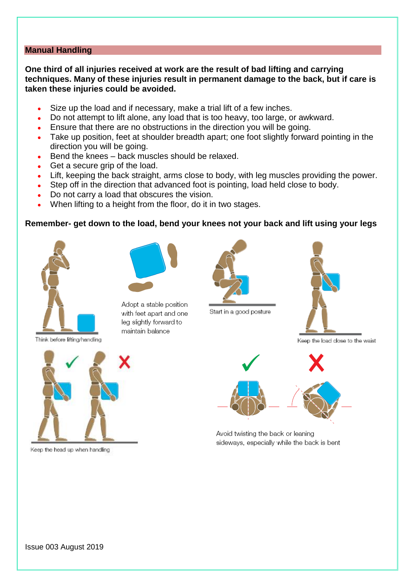# <span id="page-11-0"></span>**Manual Handling**

**One third of all injuries received at work are the result of bad lifting and carrying techniques. Many of these injuries result in permanent damage to the back, but if care is taken these injuries could be avoided.**

- Size up the load and if necessary, make a trial lift of a few inches.
- Do not attempt to lift alone, any load that is too heavy, too large, or awkward.
- Ensure that there are no obstructions in the direction you will be going.
- Take up position, feet at shoulder breadth apart; one foot slightly forward pointing in the direction you will be going.
- Bend the knees back muscles should be relaxed.
- Get a secure grip of the load.
- Lift, keeping the back straight, arms close to body, with leg muscles providing the power.
- Step off in the direction that advanced foot is pointing, load held close to body.
- Do not carry a load that obscures the vision.
- When lifting to a height from the floor, do it in two stages.

#### **Remember- get down to the load, bend your knees not your back and lift using your legs**



Adopt a stable position with feet apart and one leg slightly forward to maintain balance







Keep the load close to the waist



Keep the head up when handling



Avoid twisting the back or leaning sideways, especially while the back is bent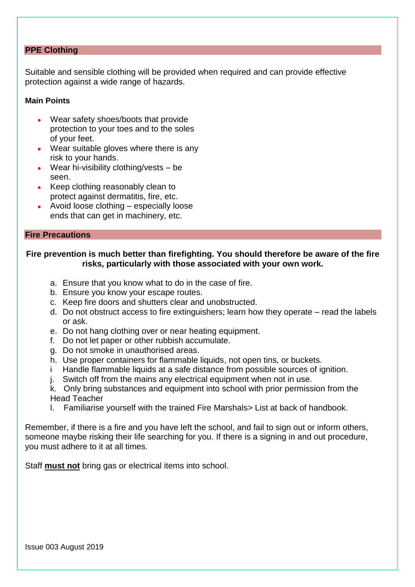### <span id="page-12-0"></span>**PPE Clothing**

Suitable and sensible clothing will be provided when required and can provide effective protection against a wide range of hazards.

#### **Main Points**

- Wear safety shoes/boots that provide protection to your toes and to the soles of your feet.
- Wear suitable gloves where there is any risk to your hands.
- Wear hi-visibility clothing/vests be seen.
- Keep clothing reasonably clean to protect against dermatitis, fire, etc.
- Avoid loose clothing especially loose ends that can get in machinery, etc.

#### <span id="page-12-1"></span>**Fire Precautions**

#### **Fire prevention is much better than firefighting. You should therefore be aware of the fire risks, particularly with those associated with your own work.**

- a. Ensure that you know what to do in the case of fire.
- b. Ensure you know your escape routes.
- c. Keep fire doors and shutters clear and unobstructed.
- d. Do not obstruct access to fire extinguishers; learn how they operate read the labels or ask.
- e. Do not hang clothing over or near heating equipment.
- f. Do not let paper or other rubbish accumulate.
- g. Do not smoke in unauthorised areas.
- h. Use proper containers for flammable liquids, not open tins, or buckets.
- i Handle flammable liquids at a safe distance from possible sources of ignition.
- j. Switch off from the mains any electrical equipment when not in use.
- k. Only bring substances and equipment into school with prior permission from the Head Teacher
- l. Familiarise yourself with the trained Fire Marshals> List at back of handbook.

Remember, if there is a fire and you have left the school, and fail to sign out or inform others, someone maybe risking their life searching for you. If there is a signing in and out procedure, you must adhere to it at all times.

Staff **must not** bring gas or electrical items into school.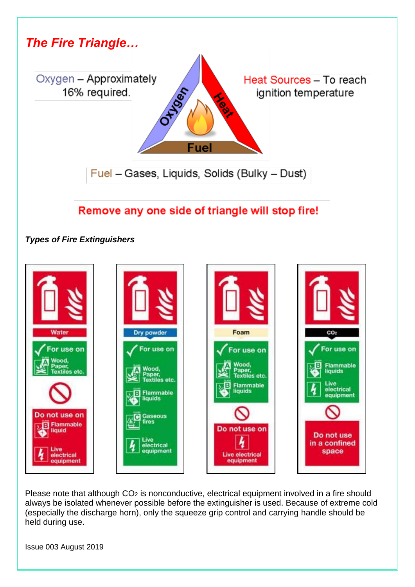

# Remove any one side of triangle will stop fire!

*Types of Fire Extinguishers*



Please note that although CO<sub>2</sub> is nonconductive, electrical equipment involved in a fire should always be isolated whenever possible before the extinguisher is used. Because of extreme cold (especially the discharge horn), only the squeeze grip control and carrying handle should be held during use.

Issue 003 August 2019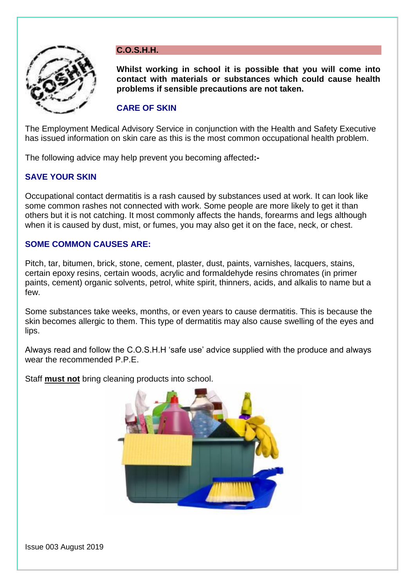

# <span id="page-14-0"></span>**C.O.S.H.H.**

**Whilst working in school it is possible that you will come into contact with materials or substances which could cause health problems if sensible precautions are not taken.**

# **CARE OF SKIN**

The Employment Medical Advisory Service in conjunction with the Health and Safety Executive has issued information on skin care as this is the most common occupational health problem.

The following advice may help prevent you becoming affected**:-**

# **SAVE YOUR SKIN**

Occupational contact dermatitis is a rash caused by substances used at work. It can look like some common rashes not connected with work. Some people are more likely to get it than others but it is not catching. It most commonly affects the hands, forearms and legs although when it is caused by dust, mist, or fumes, you may also get it on the face, neck, or chest.

# **SOME COMMON CAUSES ARE:**

Pitch, tar, bitumen, brick, stone, cement, plaster, dust, paints, varnishes, lacquers, stains, certain epoxy resins, certain woods, acrylic and formaldehyde resins chromates (in primer paints, cement) organic solvents, petrol, white spirit, thinners, acids, and alkalis to name but a few.

Some substances take weeks, months, or even years to cause dermatitis. This is because the skin becomes allergic to them. This type of dermatitis may also cause swelling of the eyes and lips.

Always read and follow the C.O.S.H.H 'safe use' advice supplied with the produce and always wear the recommended P.P.E.

Staff **must not** bring cleaning products into school.



Issue 003 August 2019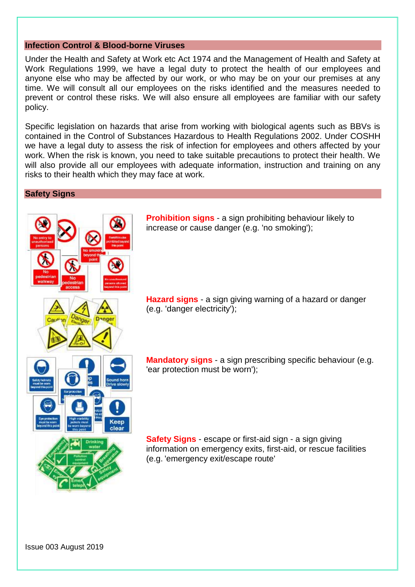#### <span id="page-15-0"></span>**Infection Control & Blood-borne Viruses**

Under the Health and Safety at Work etc Act 1974 and the Management of Health and Safety at Work Regulations 1999, we have a legal duty to protect the health of our employees and anyone else who may be affected by our work, or who may be on your our premises at any time. We will consult all our employees on the risks identified and the measures needed to prevent or control these risks. We will also ensure all employees are familiar with our safety policy.

Specific legislation on hazards that arise from working with biological agents such as BBVs is contained in the Control of Substances Hazardous to Health Regulations 2002. Under COSHH we have a legal duty to assess the risk of infection for employees and others affected by your work. When the risk is known, you need to take suitable precautions to protect their health. We will also provide all our employees with adequate information, instruction and training on any risks to their health which they may face at work.

#### <span id="page-15-1"></span>**Safety Signs**



**Prohibition signs** - a sign prohibiting behaviour likely to increase or cause danger (e.g. 'no smoking');

**Hazard signs** - a sign giving warning of a hazard or danger (e.g. 'danger electricity');

**Mandatory signs** - a sign prescribing specific behaviour (e.g. 'ear protection must be worn');

**Safety Signs** - escape or first-aid sign - a sign giving information on emergency exits, first-aid, or rescue facilities (e.g. 'emergency exit/escape route'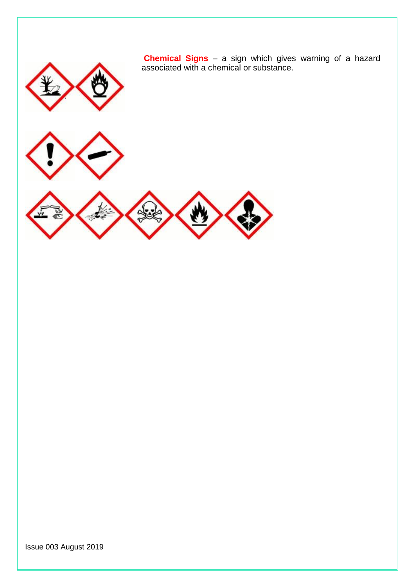

**Chemical Signs** – a sign which gives warning of a hazard associated with a chemical or substance.



Issue 003 August 2019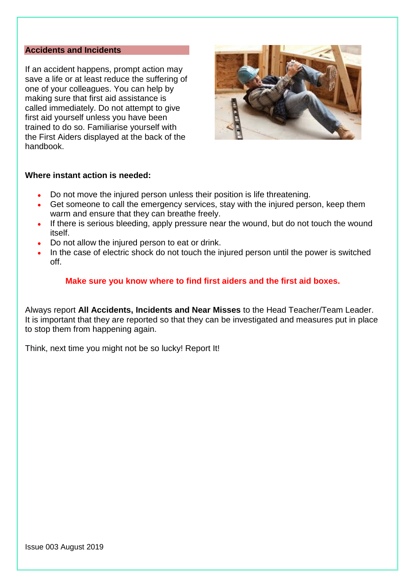# <span id="page-17-0"></span>**Accidents and Incidents**

If an accident happens, prompt action may save a life or at least reduce the suffering of one of your colleagues. You can help by making sure that first aid assistance is called immediately. Do not attempt to give first aid yourself unless you have been trained to do so. Familiarise yourself with the First Aiders displayed at the back of the handbook.



#### **Where instant action is needed:**

- Do not move the injured person unless their position is life threatening.
- Get someone to call the emergency services, stay with the injured person, keep them warm and ensure that they can breathe freely.
- If there is serious bleeding, apply pressure near the wound, but do not touch the wound itself.
- Do not allow the injured person to eat or drink.
- In the case of electric shock do not touch the injured person until the power is switched off.

### **Make sure you know where to find first aiders and the first aid boxes.**

Always report **All Accidents, Incidents and Near Misses** to the Head Teacher/Team Leader. It is important that they are reported so that they can be investigated and measures put in place to stop them from happening again.

Think, next time you might not be so lucky! Report It!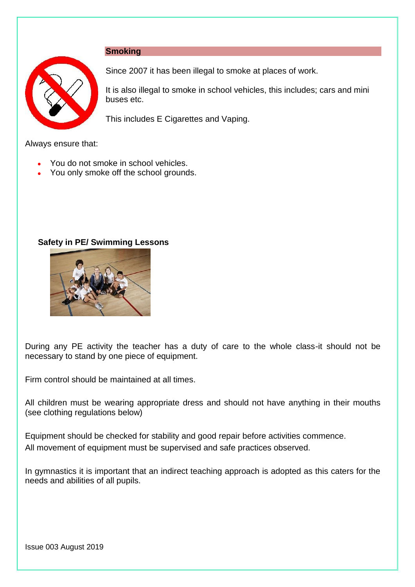### <span id="page-18-0"></span>**Smoking**



Since 2007 it has been illegal to smoke at places of work.

It is also illegal to smoke in school vehicles, this includes; cars and mini buses etc.

This includes E Cigarettes and Vaping.

Always ensure that:

- You do not smoke in school vehicles.
- You only smoke off the school grounds.

### **Safety in PE/ Swimming Lessons**



During any PE activity the teacher has a duty of care to the whole class-it should not be necessary to stand by one piece of equipment.

Firm control should be maintained at all times.

All children must be wearing appropriate dress and should not have anything in their mouths (see clothing regulations below)

Equipment should be checked for stability and good repair before activities commence. All movement of equipment must be supervised and safe practices observed.

In gymnastics it is important that an indirect teaching approach is adopted as this caters for the needs and abilities of all pupils.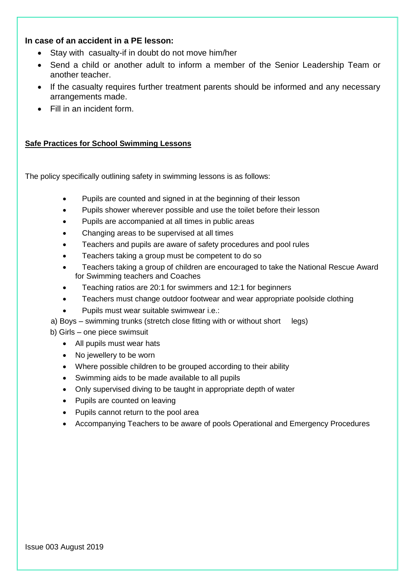# **In case of an accident in a PE lesson:**

- Stay with casualty-if in doubt do not move him/her
- Send a child or another adult to inform a member of the Senior Leadership Team or another teacher.
- If the casualty requires further treatment parents should be informed and any necessary arrangements made.
- Fill in an incident form.

#### **Safe Practices for School Swimming Lessons**

The policy specifically outlining safety in swimming lessons is as follows:

- Pupils are counted and signed in at the beginning of their lesson
- Pupils shower wherever possible and use the toilet before their lesson
- Pupils are accompanied at all times in public areas
- Changing areas to be supervised at all times
- Teachers and pupils are aware of safety procedures and pool rules
- Teachers taking a group must be competent to do so
- Teachers taking a group of children are encouraged to take the National Rescue Award for Swimming teachers and Coaches
- Teaching ratios are 20:1 for swimmers and 12:1 for beginners
- Teachers must change outdoor footwear and wear appropriate poolside clothing
- Pupils must wear suitable swimwear i.e.:
- a) Boys swimming trunks (stretch close fitting with or without short legs)
- b) Girls one piece swimsuit
	- All pupils must wear hats
	- No jewellery to be worn
	- Where possible children to be grouped according to their ability
	- Swimming aids to be made available to all pupils
	- Only supervised diving to be taught in appropriate depth of water
	- Pupils are counted on leaving
	- Pupils cannot return to the pool area
	- Accompanying Teachers to be aware of pools Operational and Emergency Procedures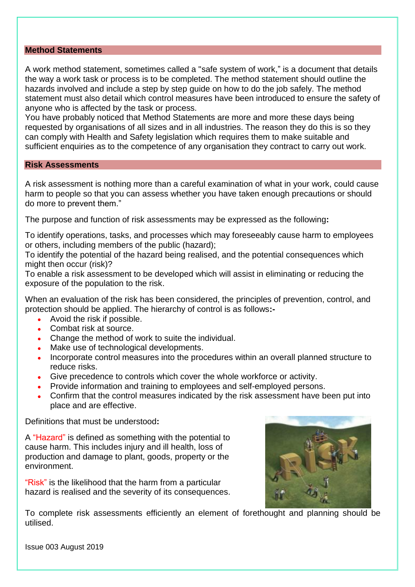## <span id="page-20-0"></span>**Method Statements**

A work method statement, sometimes called a "safe system of work," is a document that details the way a work task or process is to be completed. The method statement should outline the hazards involved and include a step by step guide on how to do the job safely. The method statement must also detail which control measures have been introduced to ensure the safety of anyone who is affected by the task or process.

You have probably noticed that Method Statements are more and more these days being requested by organisations of all sizes and in all industries. The reason they do this is so they can comply with Health and Safety legislation which requires them to make suitable and sufficient enquiries as to the competence of any organisation they contract to carry out work.

#### <span id="page-20-1"></span>**Risk Assessments**

A risk assessment is nothing more than a careful examination of what in your work, could cause harm to people so that you can assess whether you have taken enough precautions or should do more to prevent them."

The purpose and function of risk assessments may be expressed as the following**:**

To identify operations, tasks, and processes which may foreseeably cause harm to employees or others, including members of the public (hazard);

To identify the potential of the hazard being realised, and the potential consequences which might then occur (risk)?

To enable a risk assessment to be developed which will assist in eliminating or reducing the exposure of the population to the risk.

When an evaluation of the risk has been considered, the principles of prevention, control, and protection should be applied. The hierarchy of control is as follows**:-**

- Avoid the risk if possible.
- Combat risk at source.
- Change the method of work to suite the individual.
- Make use of technological developments.
- Incorporate control measures into the procedures within an overall planned structure to reduce risks.
- Give precedence to controls which cover the whole workforce or activity.
- Provide information and training to employees and self-employed persons.
- Confirm that the control measures indicated by the risk assessment have been put into place and are effective.

Definitions that must be understood**:**

A "Hazard" is defined as something with the potential to cause harm. This includes injury and ill health, loss of production and damage to plant, goods, property or the environment.

"Risk" is the likelihood that the harm from a particular hazard is realised and the severity of its consequences.



To complete risk assessments efficiently an element of forethought and planning should be utilised.

Issue 003 August 2019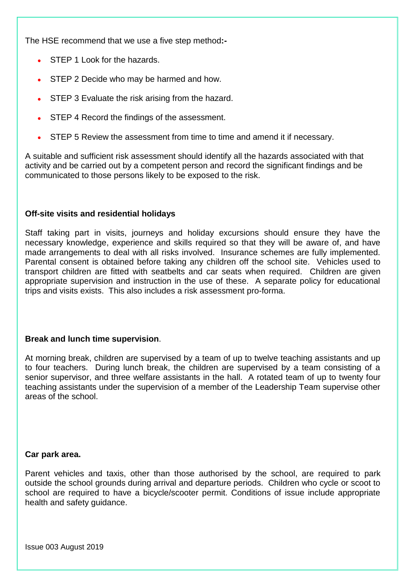The HSE recommend that we use a five step method**:-**

- STEP 1 Look for the hazards.
- STEP 2 Decide who may be harmed and how.
- STEP 3 Evaluate the risk arising from the hazard.
- STEP 4 Record the findings of the assessment.
- STEP 5 Review the assessment from time to time and amend it if necessary.

A suitable and sufficient risk assessment should identify all the hazards associated with that activity and be carried out by a competent person and record the significant findings and be communicated to those persons likely to be exposed to the risk.

### **Off-site visits and residential holidays**

Staff taking part in visits, journeys and holiday excursions should ensure they have the necessary knowledge, experience and skills required so that they will be aware of, and have made arrangements to deal with all risks involved. Insurance schemes are fully implemented. Parental consent is obtained before taking any children off the school site. Vehicles used to transport children are fitted with seatbelts and car seats when required. Children are given appropriate supervision and instruction in the use of these. A separate policy for educational trips and visits exists. This also includes a risk assessment pro-forma.

### **Break and lunch time supervision**.

At morning break, children are supervised by a team of up to twelve teaching assistants and up to four teachers. During lunch break, the children are supervised by a team consisting of a senior supervisor, and three welfare assistants in the hall. A rotated team of up to twenty four teaching assistants under the supervision of a member of the Leadership Team supervise other areas of the school.

### **Car park area.**

Parent vehicles and taxis, other than those authorised by the school, are required to park outside the school grounds during arrival and departure periods. Children who cycle or scoot to school are required to have a bicycle/scooter permit. Conditions of issue include appropriate health and safety guidance.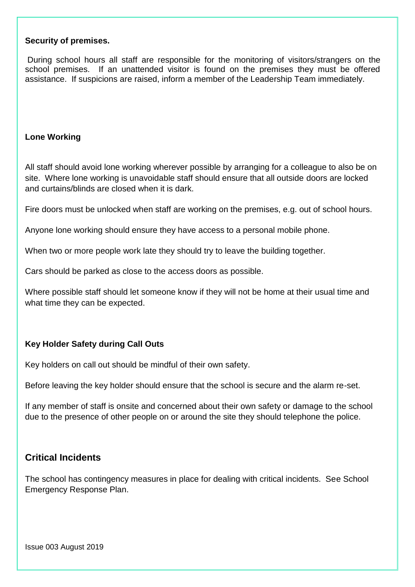#### **Security of premises.**

During school hours all staff are responsible for the monitoring of visitors/strangers on the school premises. If an unattended visitor is found on the premises they must be offered assistance. If suspicions are raised, inform a member of the Leadership Team immediately.

### **Lone Working**

All staff should avoid lone working wherever possible by arranging for a colleague to also be on site. Where lone working is unavoidable staff should ensure that all outside doors are locked and curtains/blinds are closed when it is dark.

Fire doors must be unlocked when staff are working on the premises, e.g. out of school hours.

Anyone lone working should ensure they have access to a personal mobile phone.

When two or more people work late they should try to leave the building together.

Cars should be parked as close to the access doors as possible.

Where possible staff should let someone know if they will not be home at their usual time and what time they can be expected.

#### **Key Holder Safety during Call Outs**

Key holders on call out should be mindful of their own safety.

Before leaving the key holder should ensure that the school is secure and the alarm re-set.

If any member of staff is onsite and concerned about their own safety or damage to the school due to the presence of other people on or around the site they should telephone the police.

# **Critical Incidents**

The school has contingency measures in place for dealing with critical incidents. See School Emergency Response Plan.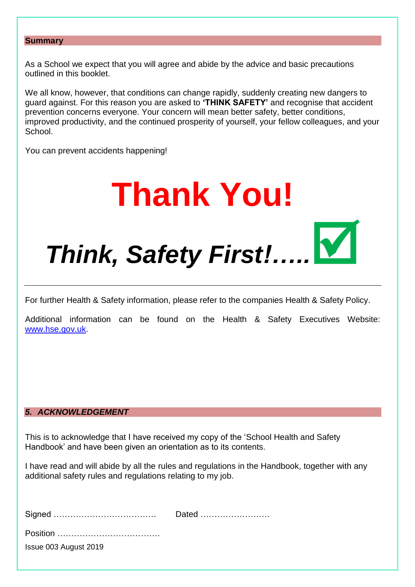#### <span id="page-23-0"></span>**Summary**

As a School we expect that you will agree and abide by the advice and basic precautions outlined in this booklet.

We all know, however, that conditions can change rapidly, suddenly creating new dangers to guard against. For this reason you are asked to **'THINK SAFETY'** and recognise that accident prevention concerns everyone. Your concern will mean better safety, better conditions, improved productivity, and the continued prosperity of yourself, your fellow colleagues, and your School.

You can prevent accidents happening!

# **Thank You!** *Think, Safety First!…..*

For further Health & Safety information, please refer to the companies Health & Safety Policy.

Additional information can be found on the Health & Safety Executives Website: [www.hse.gov.uk.](http://www.hse.gov.uk/)

# *5. ACKNOWLEDGEMENT*

This is to acknowledge that I have received my copy of the 'School Health and Safety Handbook' and have been given an orientation as to its contents.

I have read and will abide by all the rules and regulations in the Handbook, together with any additional safety rules and regulations relating to my job.

|                       | Dated |
|-----------------------|-------|
|                       |       |
| Issue 003 August 2019 |       |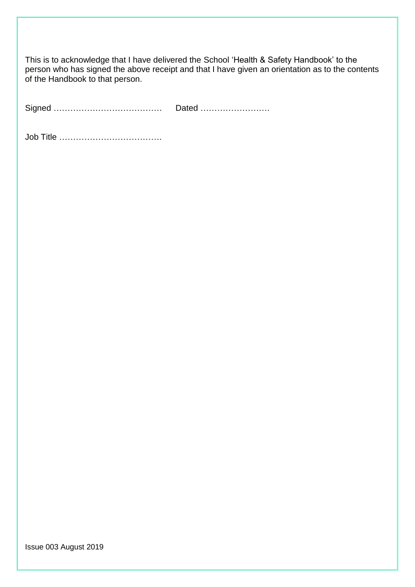This is to acknowledge that I have delivered the School 'Health & Safety Handbook' to the person who has signed the above receipt and that I have given an orientation as to the contents of the Handbook to that person.

Signed ………………………………… Dated …………………….

Job Title ……………………………….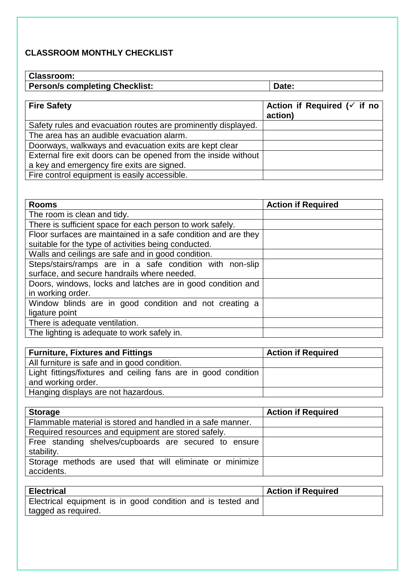# **CLASSROOM MONTHLY CHECKLIST**

## **Classroom:**

| UIASSI VUIII.                         |       |
|---------------------------------------|-------|
| <b>Person/s completing Checklist:</b> | Date: |
|                                       |       |

┑

| <b>Fire Safety</b>                                             | Action if Required ( $\checkmark$ if no<br>action) |
|----------------------------------------------------------------|----------------------------------------------------|
| Safety rules and evacuation routes are prominently displayed.  |                                                    |
| The area has an audible evacuation alarm.                      |                                                    |
| Doorways, walkways and evacuation exits are kept clear         |                                                    |
| External fire exit doors can be opened from the inside without |                                                    |
| a key and emergency fire exits are signed.                     |                                                    |
| Fire control equipment is easily accessible.                   |                                                    |

| <b>Rooms</b>                                                   | <b>Action if Required</b> |
|----------------------------------------------------------------|---------------------------|
| The room is clean and tidy.                                    |                           |
| There is sufficient space for each person to work safely.      |                           |
| Floor surfaces are maintained in a safe condition and are they |                           |
| suitable for the type of activities being conducted.           |                           |
| Walls and ceilings are safe and in good condition.             |                           |
| Steps/stairs/ramps are in a safe condition with non-slip       |                           |
| surface, and secure handrails where needed.                    |                           |
| Doors, windows, locks and latches are in good condition and    |                           |
| in working order.                                              |                           |
| Window blinds are in good condition and not creating a         |                           |
| ligature point                                                 |                           |
| There is adequate ventilation.                                 |                           |
| The lighting is adequate to work safely in.                    |                           |

| <b>Furniture, Fixtures and Fittings</b>                        | <b>Action if Required</b> |
|----------------------------------------------------------------|---------------------------|
| All furniture is safe and in good condition.                   |                           |
| Light fittings/fixtures and ceiling fans are in good condition |                           |
| and working order.                                             |                           |
| Hanging displays are not hazardous.                            |                           |

| <b>Storage</b>                                                         | <b>Action if Required</b> |
|------------------------------------------------------------------------|---------------------------|
| Flammable material is stored and handled in a safe manner.             |                           |
| Required resources and equipment are stored safely.                    |                           |
| Free standing shelves/cupboards are secured to ensure<br>stability.    |                           |
| Storage methods are used that will eliminate or minimize<br>accidents. |                           |

| <b>Electrical</b>                                           | <b>Action if Required</b> |
|-------------------------------------------------------------|---------------------------|
| Electrical equipment is in good condition and is tested and |                           |
| tagged as required.                                         |                           |